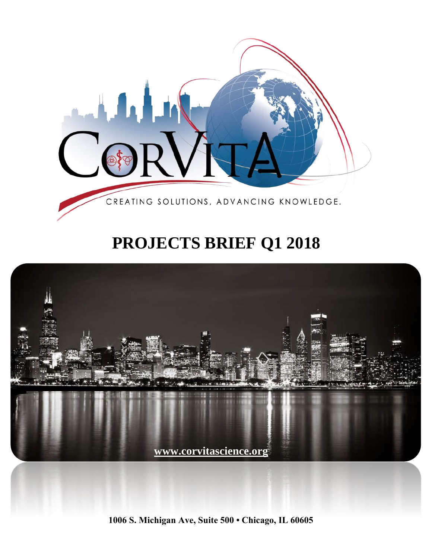

# **PROJECTS BRIEF Q1 2018**



**1006 S. Michigan Ave, Suite 500 • Chicago, IL 60605**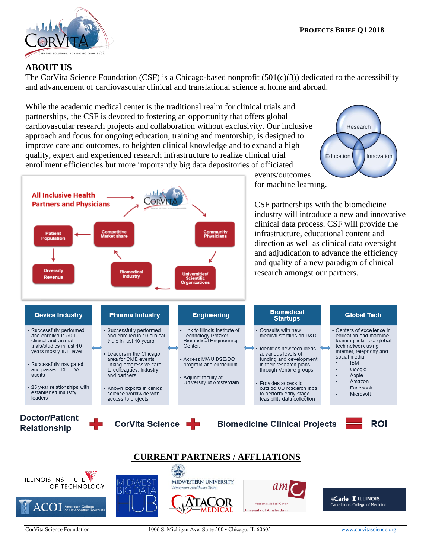

**All Inclusive Health** 

**Patient Population** 

**Partners and Physicians** 

#### **ABOUT US**

The CorVita Science Foundation (CSF) is a Chicago-based nonprofit (501(c)(3)) dedicated to the accessibility and advancement of cardiovascular clinical and translational science at home and abroad.

While the academic medical center is the traditional realm for clinical trials and partnerships, the CSF is devoted to fostering an opportunity that offers global cardiovascular research projects and collaboration without exclusivity. Our inclusive approach and focus for ongoing education, training and mentorship, is designed to improve care and outcomes, to heighten clinical knowledge and to expand a high quality, expert and experienced research infrastructure to realize clinical trial enrollment efficiencies but more importantly big data depositories of officiated

 $\odot$ R



CSF partnerships with the biomedicine industry will introduce a new and innovative clinical data process. CSF will provide the infrastructure, educational content and direction as well as clinical data oversight

events/outcomes

an



Co<mark>mmunity</mark><br>Physicians



Carle I ILLINOIS Carle Illinois College of Medicine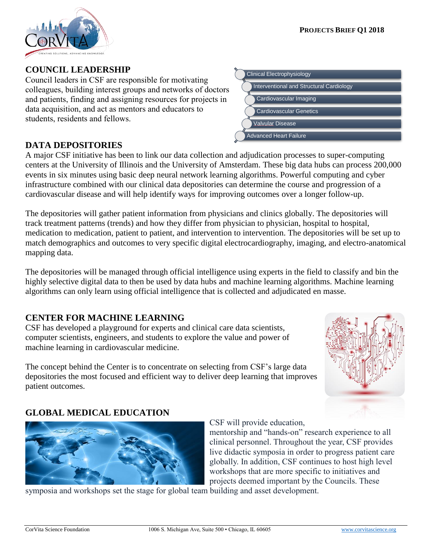

#### Council leaders in CSF are responsible for motivating

**COUNCIL LEADERSHIP**

colleagues, building interest groups and networks of doctors and patients, finding and assigning resources for projects in data acquisition, and act as mentors and educators to students, residents and fellows.

#### **DATA DEPOSITORIES**

A major CSF initiative has been to link our data collection and adjudication processes to super-computing centers at the University of Illinois and the University of Amsterdam. These big data hubs can process 200,000 events in six minutes using basic deep neural network learning algorithms. Powerful computing and cyber infrastructure combined with our clinical data depositories can determine the course and progression of a cardiovascular disease and will help identify ways for improving outcomes over a longer follow-up.

The depositories will gather patient information from physicians and clinics globally. The depositories will track treatment patterns (trends) and how they differ from physician to physician, hospital to hospital, medication to medication, patient to patient, and intervention to intervention. The depositories will be set up to match demographics and outcomes to very specific digital electrocardiography, imaging, and electro-anatomical mapping data.

The depositories will be managed through official intelligence using experts in the field to classify and bin the highly selective digital data to then be used by data hubs and machine learning algorithms. Machine learning algorithms can only learn using official intelligence that is collected and adjudicated en masse.

## **CENTER FOR MACHINE LEARNING**

CSF has developed a playground for experts and clinical care data scientists, computer scientists, engineers, and students to explore the value and power of machine learning in cardiovascular medicine.

The concept behind the Center is to concentrate on selecting from CSF's large data depositories the most focused and efficient way to deliver deep learning that improves patient outcomes.

## **GLOBAL MEDICAL EDUCATION**

CSF will provide education,

mentorship and "hands-on" research experience to all clinical personnel. Throughout the year, CSF provides live didactic symposia in order to progress patient care globally. In addition, CSF continues to host high level workshops that are more specific to initiatives and projects deemed important by the Councils. These

symposia and workshops set the stage for global team building and asset development.